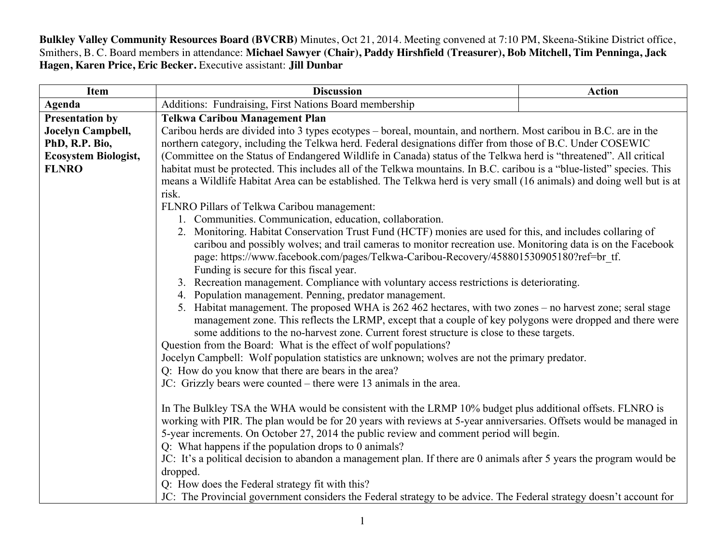**Bulkley Valley Community Resources Board (BVCRB)** Minutes, Oct 21, 2014. Meeting convened at 7:10 PM, Skeena-Stikine District office, Smithers, B. C. Board members in attendance: **Michael Sawyer (Chair), Paddy Hirshfield (Treasurer), Bob Mitchell, Tim Penninga, Jack Hagen, Karen Price, Eric Becker.** Executive assistant: **Jill Dunbar**

| Item                        | <b>Discussion</b>                                                                                                                                                                                                                                                                                                                        | <b>Action</b> |  |
|-----------------------------|------------------------------------------------------------------------------------------------------------------------------------------------------------------------------------------------------------------------------------------------------------------------------------------------------------------------------------------|---------------|--|
| <b>Agenda</b>               | Additions: Fundraising, First Nations Board membership                                                                                                                                                                                                                                                                                   |               |  |
| <b>Presentation by</b>      | <b>Telkwa Caribou Management Plan</b>                                                                                                                                                                                                                                                                                                    |               |  |
| Jocelyn Campbell,           | Caribou herds are divided into 3 types ecotypes – boreal, mountain, and northern. Most caribou in B.C. are in the                                                                                                                                                                                                                        |               |  |
| PhD, R.P. Bio,              | northern category, including the Telkwa herd. Federal designations differ from those of B.C. Under COSEWIC                                                                                                                                                                                                                               |               |  |
| <b>Ecosystem Biologist,</b> | (Committee on the Status of Endangered Wildlife in Canada) status of the Telkwa herd is "threatened". All critical                                                                                                                                                                                                                       |               |  |
| <b>FLNRO</b>                | habitat must be protected. This includes all of the Telkwa mountains. In B.C. caribou is a "blue-listed" species. This                                                                                                                                                                                                                   |               |  |
|                             | means a Wildlife Habitat Area can be established. The Telkwa herd is very small (16 animals) and doing well but is at                                                                                                                                                                                                                    |               |  |
|                             | risk.                                                                                                                                                                                                                                                                                                                                    |               |  |
|                             | FLNRO Pillars of Telkwa Caribou management:                                                                                                                                                                                                                                                                                              |               |  |
|                             | 1. Communities. Communication, education, collaboration.                                                                                                                                                                                                                                                                                 |               |  |
|                             | 2. Monitoring. Habitat Conservation Trust Fund (HCTF) monies are used for this, and includes collaring of                                                                                                                                                                                                                                |               |  |
|                             | caribou and possibly wolves; and trail cameras to monitor recreation use. Monitoring data is on the Facebook                                                                                                                                                                                                                             |               |  |
|                             | page: https://www.facebook.com/pages/Telkwa-Caribou-Recovery/458801530905180?ref=br tf.                                                                                                                                                                                                                                                  |               |  |
|                             | Funding is secure for this fiscal year.                                                                                                                                                                                                                                                                                                  |               |  |
|                             | 3. Recreation management. Compliance with voluntary access restrictions is deteriorating.                                                                                                                                                                                                                                                |               |  |
|                             | 4. Population management. Penning, predator management.                                                                                                                                                                                                                                                                                  |               |  |
|                             | 5. Habitat management. The proposed WHA is 262 462 hectares, with two zones – no harvest zone; seral stage                                                                                                                                                                                                                               |               |  |
|                             | management zone. This reflects the LRMP, except that a couple of key polygons were dropped and there were                                                                                                                                                                                                                                |               |  |
|                             | some additions to the no-harvest zone. Current forest structure is close to these targets.                                                                                                                                                                                                                                               |               |  |
|                             | Question from the Board: What is the effect of wolf populations?                                                                                                                                                                                                                                                                         |               |  |
|                             | Jocelyn Campbell: Wolf population statistics are unknown; wolves are not the primary predator.                                                                                                                                                                                                                                           |               |  |
|                             | Q: How do you know that there are bears in the area?<br>JC: Grizzly bears were counted – there were 13 animals in the area.                                                                                                                                                                                                              |               |  |
|                             |                                                                                                                                                                                                                                                                                                                                          |               |  |
|                             | In The Bulkley TSA the WHA would be consistent with the LRMP 10% budget plus additional offsets. FLNRO is                                                                                                                                                                                                                                |               |  |
|                             | working with PIR. The plan would be for 20 years with reviews at 5-year anniversaries. Offsets would be managed in                                                                                                                                                                                                                       |               |  |
|                             | 5-year increments. On October 27, 2014 the public review and comment period will begin.<br>Q: What happens if the population drops to 0 animals?<br>JC: It's a political decision to abandon a management plan. If there are 0 animals after 5 years the program would be<br>dropped.<br>Q: How does the Federal strategy fit with this? |               |  |
|                             |                                                                                                                                                                                                                                                                                                                                          |               |  |
|                             |                                                                                                                                                                                                                                                                                                                                          |               |  |
|                             |                                                                                                                                                                                                                                                                                                                                          |               |  |
|                             |                                                                                                                                                                                                                                                                                                                                          |               |  |
|                             | JC: The Provincial government considers the Federal strategy to be advice. The Federal strategy doesn't account for                                                                                                                                                                                                                      |               |  |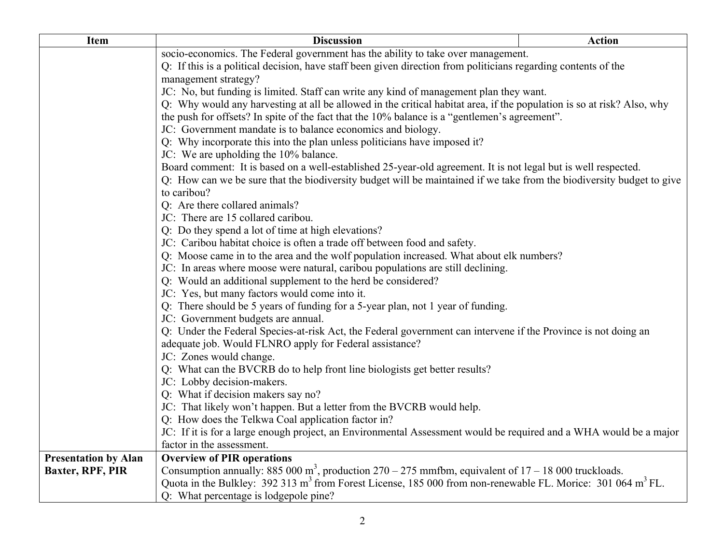| Item                        | <b>Discussion</b>                                                                                                                    | <b>Action</b> |
|-----------------------------|--------------------------------------------------------------------------------------------------------------------------------------|---------------|
|                             | socio-economics. The Federal government has the ability to take over management.                                                     |               |
|                             | Q: If this is a political decision, have staff been given direction from politicians regarding contents of the                       |               |
|                             | management strategy?                                                                                                                 |               |
|                             | JC: No, but funding is limited. Staff can write any kind of management plan they want.                                               |               |
|                             | Q: Why would any harvesting at all be allowed in the critical habitat area, if the population is so at risk? Also, why               |               |
|                             | the push for offsets? In spite of the fact that the 10% balance is a "gentlemen's agreement".                                        |               |
|                             | JC: Government mandate is to balance economics and biology.                                                                          |               |
|                             | Q: Why incorporate this into the plan unless politicians have imposed it?                                                            |               |
|                             | JC: We are upholding the 10% balance.                                                                                                |               |
|                             | Board comment: It is based on a well-established 25-year-old agreement. It is not legal but is well respected.                       |               |
|                             | Q: How can we be sure that the biodiversity budget will be maintained if we take from the biodiversity budget to give<br>to caribou? |               |
|                             | Q: Are there collared animals?                                                                                                       |               |
|                             | JC: There are 15 collared caribou.                                                                                                   |               |
|                             | Q: Do they spend a lot of time at high elevations?                                                                                   |               |
|                             | JC: Caribou habitat choice is often a trade off between food and safety.                                                             |               |
|                             | Q: Moose came in to the area and the wolf population increased. What about elk numbers?                                              |               |
|                             | JC: In areas where moose were natural, caribou populations are still declining.                                                      |               |
|                             | Q: Would an additional supplement to the herd be considered?                                                                         |               |
|                             | JC: Yes, but many factors would come into it.                                                                                        |               |
|                             | Q: There should be 5 years of funding for a 5-year plan, not 1 year of funding.                                                      |               |
|                             | JC: Government budgets are annual.                                                                                                   |               |
|                             | Q: Under the Federal Species-at-risk Act, the Federal government can intervene if the Province is not doing an                       |               |
|                             | adequate job. Would FLNRO apply for Federal assistance?                                                                              |               |
|                             | JC: Zones would change.                                                                                                              |               |
|                             | Q: What can the BVCRB do to help front line biologists get better results?                                                           |               |
|                             | JC: Lobby decision-makers.                                                                                                           |               |
|                             | Q: What if decision makers say no?                                                                                                   |               |
|                             | JC: That likely won't happen. But a letter from the BVCRB would help.                                                                |               |
|                             | Q: How does the Telkwa Coal application factor in?                                                                                   |               |
|                             | JC: If it is for a large enough project, an Environmental Assessment would be required and a WHA would be a major                    |               |
|                             | factor in the assessment.                                                                                                            |               |
| <b>Presentation by Alan</b> | <b>Overview of PIR operations</b>                                                                                                    |               |
| <b>Baxter, RPF, PIR</b>     | Consumption annually: 885 000 m <sup>3</sup> , production $270 - 275$ mmfbm, equivalent of $17 - 18000$ truckloads.                  |               |
|                             | Quota in the Bulkley: 392 313 m <sup>3</sup> from Forest License, 185 000 from non-renewable FL. Morice: 301 064 m <sup>3</sup> FL.  |               |
|                             | Q: What percentage is lodgepole pine?                                                                                                |               |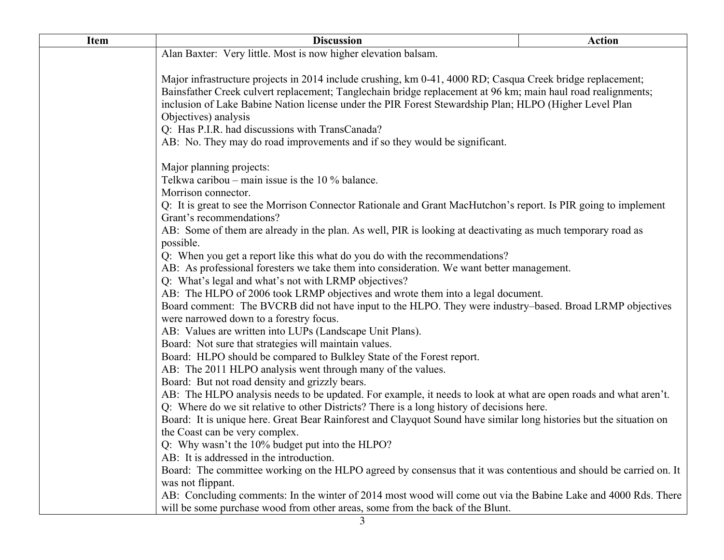| <b>Item</b> | <b>Discussion</b>                                                                                                                                                                                              | <b>Action</b> |
|-------------|----------------------------------------------------------------------------------------------------------------------------------------------------------------------------------------------------------------|---------------|
|             | Alan Baxter: Very little. Most is now higher elevation balsam.                                                                                                                                                 |               |
|             |                                                                                                                                                                                                                |               |
|             | Major infrastructure projects in 2014 include crushing, km 0-41, 4000 RD; Casqua Creek bridge replacement;                                                                                                     |               |
|             | Bainsfather Creek culvert replacement; Tanglechain bridge replacement at 96 km; main haul road realignments;                                                                                                   |               |
|             | inclusion of Lake Babine Nation license under the PIR Forest Stewardship Plan; HLPO (Higher Level Plan                                                                                                         |               |
|             | Objectives) analysis                                                                                                                                                                                           |               |
|             | Q: Has P.I.R. had discussions with TransCanada?                                                                                                                                                                |               |
|             | AB: No. They may do road improvements and if so they would be significant.                                                                                                                                     |               |
|             | Major planning projects:                                                                                                                                                                                       |               |
|             | Telkwa caribou – main issue is the $10\%$ balance.                                                                                                                                                             |               |
|             | Morrison connector.                                                                                                                                                                                            |               |
|             | Q: It is great to see the Morrison Connector Rationale and Grant MacHutchon's report. Is PIR going to implement<br>Grant's recommendations?                                                                    |               |
|             | AB: Some of them are already in the plan. As well, PIR is looking at deactivating as much temporary road as                                                                                                    |               |
|             | possible.                                                                                                                                                                                                      |               |
|             | Q: When you get a report like this what do you do with the recommendations?                                                                                                                                    |               |
|             | AB: As professional foresters we take them into consideration. We want better management.                                                                                                                      |               |
|             | Q: What's legal and what's not with LRMP objectives?                                                                                                                                                           |               |
|             | AB: The HLPO of 2006 took LRMP objectives and wrote them into a legal document.                                                                                                                                |               |
|             | Board comment: The BVCRB did not have input to the HLPO. They were industry-based. Broad LRMP objectives                                                                                                       |               |
|             | were narrowed down to a forestry focus.                                                                                                                                                                        |               |
|             | AB: Values are written into LUPs (Landscape Unit Plans).                                                                                                                                                       |               |
|             | Board: Not sure that strategies will maintain values.                                                                                                                                                          |               |
|             | Board: HLPO should be compared to Bulkley State of the Forest report.                                                                                                                                          |               |
|             | AB: The 2011 HLPO analysis went through many of the values.                                                                                                                                                    |               |
|             | Board: But not road density and grizzly bears.                                                                                                                                                                 |               |
|             | AB: The HLPO analysis needs to be updated. For example, it needs to look at what are open roads and what aren't.<br>Q: Where do we sit relative to other Districts? There is a long history of decisions here. |               |
|             | Board: It is unique here. Great Bear Rainforest and Clayquot Sound have similar long histories but the situation on                                                                                            |               |
|             | the Coast can be very complex.                                                                                                                                                                                 |               |
|             | Q: Why wasn't the 10% budget put into the HLPO?                                                                                                                                                                |               |
|             | AB: It is addressed in the introduction.                                                                                                                                                                       |               |
|             | Board: The committee working on the HLPO agreed by consensus that it was contentious and should be carried on. It                                                                                              |               |
|             | was not flippant.                                                                                                                                                                                              |               |
|             | AB: Concluding comments: In the winter of 2014 most wood will come out via the Babine Lake and 4000 Rds. There                                                                                                 |               |
|             | will be some purchase wood from other areas, some from the back of the Blunt.                                                                                                                                  |               |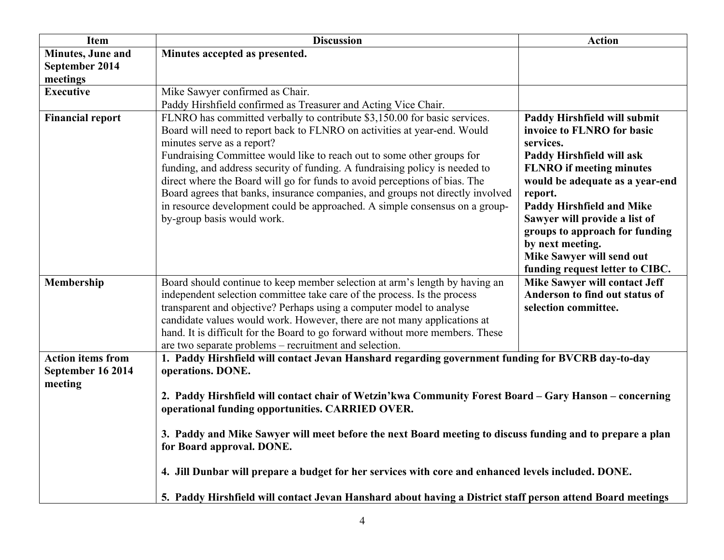| Item                                                     | <b>Discussion</b>                                                                                                                                                                                                                                                                                                                                                                                                                                                                                                                                                                                                                                   | <b>Action</b>                                                                                                                                                                                                                                                                                                                                                                    |
|----------------------------------------------------------|-----------------------------------------------------------------------------------------------------------------------------------------------------------------------------------------------------------------------------------------------------------------------------------------------------------------------------------------------------------------------------------------------------------------------------------------------------------------------------------------------------------------------------------------------------------------------------------------------------------------------------------------------------|----------------------------------------------------------------------------------------------------------------------------------------------------------------------------------------------------------------------------------------------------------------------------------------------------------------------------------------------------------------------------------|
| <b>Minutes</b> , June and                                | Minutes accepted as presented.                                                                                                                                                                                                                                                                                                                                                                                                                                                                                                                                                                                                                      |                                                                                                                                                                                                                                                                                                                                                                                  |
| September 2014                                           |                                                                                                                                                                                                                                                                                                                                                                                                                                                                                                                                                                                                                                                     |                                                                                                                                                                                                                                                                                                                                                                                  |
| meetings                                                 |                                                                                                                                                                                                                                                                                                                                                                                                                                                                                                                                                                                                                                                     |                                                                                                                                                                                                                                                                                                                                                                                  |
| <b>Executive</b>                                         | Mike Sawyer confirmed as Chair.                                                                                                                                                                                                                                                                                                                                                                                                                                                                                                                                                                                                                     |                                                                                                                                                                                                                                                                                                                                                                                  |
|                                                          | Paddy Hirshfield confirmed as Treasurer and Acting Vice Chair.                                                                                                                                                                                                                                                                                                                                                                                                                                                                                                                                                                                      |                                                                                                                                                                                                                                                                                                                                                                                  |
| <b>Financial report</b>                                  | FLNRO has committed verbally to contribute \$3,150.00 for basic services.<br>Board will need to report back to FLNRO on activities at year-end. Would<br>minutes serve as a report?<br>Fundraising Committee would like to reach out to some other groups for<br>funding, and address security of funding. A fundraising policy is needed to<br>direct where the Board will go for funds to avoid perceptions of bias. The<br>Board agrees that banks, insurance companies, and groups not directly involved<br>in resource development could be approached. A simple consensus on a group-<br>by-group basis would work.                           | Paddy Hirshfield will submit<br>invoice to FLNRO for basic<br>services.<br>Paddy Hirshfield will ask<br><b>FLNRO</b> if meeting minutes<br>would be adequate as a year-end<br>report.<br><b>Paddy Hirshfield and Mike</b><br>Sawyer will provide a list of<br>groups to approach for funding<br>by next meeting.<br>Mike Sawyer will send out<br>funding request letter to CIBC. |
| Membership                                               | Board should continue to keep member selection at arm's length by having an<br>independent selection committee take care of the process. Is the process<br>transparent and objective? Perhaps using a computer model to analyse<br>candidate values would work. However, there are not many applications at<br>hand. It is difficult for the Board to go forward without more members. These<br>are two separate problems - recruitment and selection.                                                                                                                                                                                              | <b>Mike Sawyer will contact Jeff</b><br>Anderson to find out status of<br>selection committee.                                                                                                                                                                                                                                                                                   |
| <b>Action items from</b><br>September 16 2014<br>meeting | 1. Paddy Hirshfield will contact Jevan Hanshard regarding government funding for BVCRB day-to-day<br>operations. DONE.<br>2. Paddy Hirshfield will contact chair of Wetzin'kwa Community Forest Board - Gary Hanson - concerning<br>operational funding opportunities. CARRIED OVER.<br>3. Paddy and Mike Sawyer will meet before the next Board meeting to discuss funding and to prepare a plan<br>for Board approval. DONE.<br>4. Jill Dunbar will prepare a budget for her services with core and enhanced levels included. DONE.<br>5. Paddy Hirshfield will contact Jevan Hanshard about having a District staff person attend Board meetings |                                                                                                                                                                                                                                                                                                                                                                                  |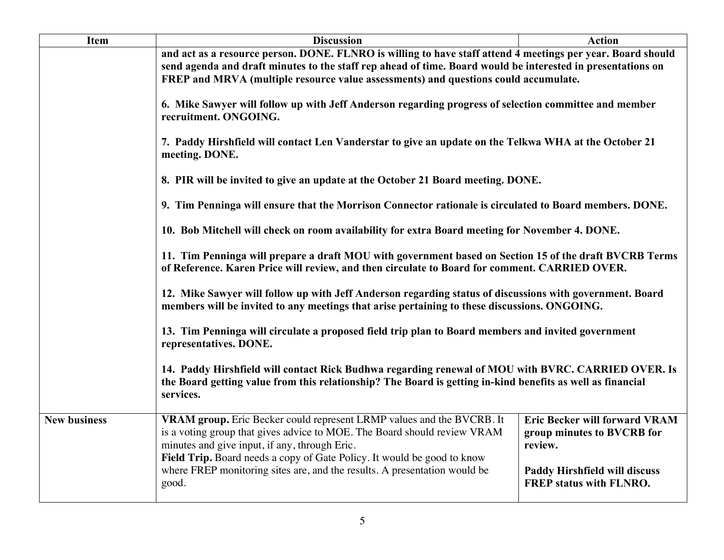| <b>Item</b>         | <b>Discussion</b>                                                                                                                                                                                                                                                                                                                                                                                                                                                                                                                                                                                                                                                                                                                                                                                                                                                                      | <b>Action</b>                                                                 |  |
|---------------------|----------------------------------------------------------------------------------------------------------------------------------------------------------------------------------------------------------------------------------------------------------------------------------------------------------------------------------------------------------------------------------------------------------------------------------------------------------------------------------------------------------------------------------------------------------------------------------------------------------------------------------------------------------------------------------------------------------------------------------------------------------------------------------------------------------------------------------------------------------------------------------------|-------------------------------------------------------------------------------|--|
|                     | and act as a resource person. DONE. FLNRO is willing to have staff attend 4 meetings per year. Board should                                                                                                                                                                                                                                                                                                                                                                                                                                                                                                                                                                                                                                                                                                                                                                            |                                                                               |  |
|                     | send agenda and draft minutes to the staff rep ahead of time. Board would be interested in presentations on                                                                                                                                                                                                                                                                                                                                                                                                                                                                                                                                                                                                                                                                                                                                                                            |                                                                               |  |
|                     | FREP and MRVA (multiple resource value assessments) and questions could accumulate.                                                                                                                                                                                                                                                                                                                                                                                                                                                                                                                                                                                                                                                                                                                                                                                                    |                                                                               |  |
|                     | 6. Mike Sawyer will follow up with Jeff Anderson regarding progress of selection committee and member<br>recruitment. ONGOING.                                                                                                                                                                                                                                                                                                                                                                                                                                                                                                                                                                                                                                                                                                                                                         |                                                                               |  |
|                     | 7. Paddy Hirshfield will contact Len Vanderstar to give an update on the Telkwa WHA at the October 21<br>meeting. DONE.<br>8. PIR will be invited to give an update at the October 21 Board meeting. DONE.                                                                                                                                                                                                                                                                                                                                                                                                                                                                                                                                                                                                                                                                             |                                                                               |  |
|                     |                                                                                                                                                                                                                                                                                                                                                                                                                                                                                                                                                                                                                                                                                                                                                                                                                                                                                        |                                                                               |  |
|                     | 9. Tim Penninga will ensure that the Morrison Connector rationale is circulated to Board members. DONE.                                                                                                                                                                                                                                                                                                                                                                                                                                                                                                                                                                                                                                                                                                                                                                                |                                                                               |  |
|                     | 10. Bob Mitchell will check on room availability for extra Board meeting for November 4. DONE.<br>11. Tim Penninga will prepare a draft MOU with government based on Section 15 of the draft BVCRB Terms<br>of Reference. Karen Price will review, and then circulate to Board for comment. CARRIED OVER.<br>12. Mike Sawyer will follow up with Jeff Anderson regarding status of discussions with government. Board<br>members will be invited to any meetings that arise pertaining to these discussions. ONGOING.<br>13. Tim Penninga will circulate a proposed field trip plan to Board members and invited government<br>representatives. DONE.<br>14. Paddy Hirshfield will contact Rick Budhwa regarding renewal of MOU with BVRC. CARRIED OVER. Is<br>the Board getting value from this relationship? The Board is getting in-kind benefits as well as financial<br>services. |                                                                               |  |
|                     |                                                                                                                                                                                                                                                                                                                                                                                                                                                                                                                                                                                                                                                                                                                                                                                                                                                                                        |                                                                               |  |
|                     |                                                                                                                                                                                                                                                                                                                                                                                                                                                                                                                                                                                                                                                                                                                                                                                                                                                                                        |                                                                               |  |
|                     |                                                                                                                                                                                                                                                                                                                                                                                                                                                                                                                                                                                                                                                                                                                                                                                                                                                                                        |                                                                               |  |
|                     |                                                                                                                                                                                                                                                                                                                                                                                                                                                                                                                                                                                                                                                                                                                                                                                                                                                                                        |                                                                               |  |
| <b>New business</b> | VRAM group. Eric Becker could represent LRMP values and the BVCRB. It<br>is a voting group that gives advice to MOE. The Board should review VRAM<br>minutes and give input, if any, through Eric.<br>Field Trip. Board needs a copy of Gate Policy. It would be good to know                                                                                                                                                                                                                                                                                                                                                                                                                                                                                                                                                                                                          | <b>Eric Becker will forward VRAM</b><br>group minutes to BVCRB for<br>review. |  |
|                     | where FREP monitoring sites are, and the results. A presentation would be<br>good.                                                                                                                                                                                                                                                                                                                                                                                                                                                                                                                                                                                                                                                                                                                                                                                                     | <b>Paddy Hirshfield will discuss</b><br><b>FREP status with FLNRO.</b>        |  |